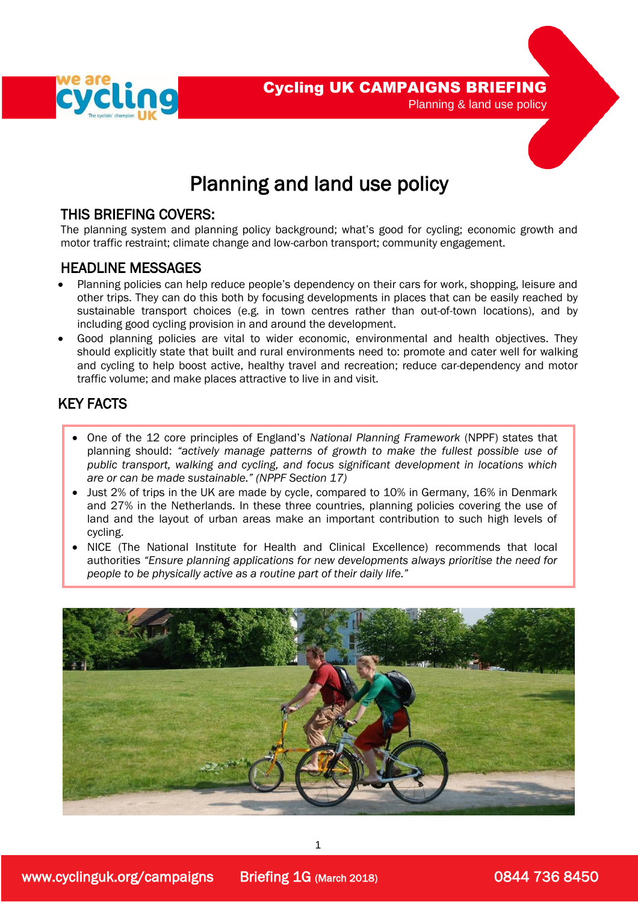

## THIS BRIEFING COVERS:

The planning system and planning policy background; what's good for cycling; economic growth and motor traffic restraint; climate change and low-carbon transport; community engagement.

## HEADLINE MESSAGES

- Planning policies can help reduce people's dependency on their cars for work, shopping, leisure and other trips. They can do this both by focusing developments in places that can be easily reached by sustainable transport choices (e.g. in town centres rather than out-of-town locations), and by including good cycling provision in and around the development.
- Good planning policies are vital to wider economic, environmental and health objectives. They should explicitly state that built and rural environments need to: promote and cater well for walking and cycling to help boost active, healthy travel and recreation; reduce car-dependency and motor traffic volume; and make places attractive to live in and visit.

## KEY FACTS

L

 

- One of the 12 core principles of England's *National Planning Framework* (NPPF) states that planning should: *"actively manage patterns of growth to make the fullest possible use of public transport, walking and cycling, and focus significant development in locations which are or can be made sustainable." (NPPF Section 17)*
- Just 2% of trips in the UK are made by cycle, compared to 10% in Germany, 16% in Denmark and 27% in the Netherlands. In these three countries, planning policies covering the use of land and the layout of urban areas make an important contribution to such high levels of cycling.
- NICE (The National Institute for Health and Clinical Excellence) recommends that local authorities *"Ensure planning applications for new developments always prioritise the need for people to be physically active as a routine part of their daily life."*



1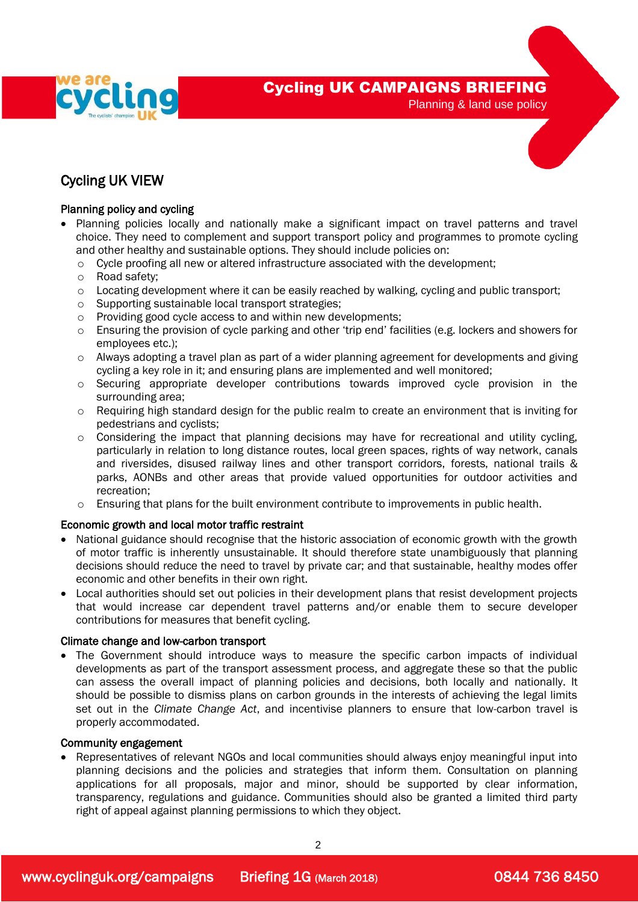

## Cycling UK VIEW

#### Planning policy and cycling

- Planning policies locally and nationally make a significant impact on travel patterns and travel choice. They need to complement and support transport policy and programmes to promote cycling and other healthy and sustainable options. They should include policies on:
	- o Cycle proofing all new or altered infrastructure associated with the development;
	- o Road safety;
	- $\circ$  Locating development where it can be easily reached by walking, cycling and public transport;
	- o Supporting sustainable local transport strategies;
	- o Providing good cycle access to and within new developments;
	- o Ensuring the provision of cycle parking and other 'trip end' facilities (e.g. lockers and showers for employees etc.);
	- o Always adopting a travel plan as part of a wider planning agreement for developments and giving cycling a key role in it; and ensuring plans are implemented and well monitored;
	- o Securing appropriate developer contributions towards improved cycle provision in the surrounding area;
	- o Requiring high standard design for the public realm to create an environment that is inviting for pedestrians and cyclists;
	- o Considering the impact that planning decisions may have for recreational and utility cycling, particularly in relation to long distance routes, local green spaces, rights of way network, canals and riversides, disused railway lines and other transport corridors, forests, national trails & parks, AONBs and other areas that provide valued opportunities for outdoor activities and recreation;
	- $\circ$  Ensuring that plans for the built environment contribute to improvements in public health.

#### Economic growth and local motor traffic restraint

- National guidance should recognise that the historic association of economic growth with the growth of motor traffic is inherently unsustainable. It should therefore state unambiguously that planning decisions should reduce the need to travel by private car; and that sustainable, healthy modes offer economic and other benefits in their own right.
- Local authorities should set out policies in their development plans that resist development projects that would increase car dependent travel patterns and/or enable them to secure developer contributions for measures that benefit cycling.

#### Climate change and low-carbon transport

• The Government should introduce ways to measure the specific carbon impacts of individual developments as part of the transport assessment process, and aggregate these so that the public can assess the overall impact of planning policies and decisions, both locally and nationally. It should be possible to dismiss plans on carbon grounds in the interests of achieving the legal limits set out in the *Climate Change Act*, and incentivise planners to ensure that low-carbon travel is properly accommodated.

#### Community engagement

 Representatives of relevant NGOs and local communities should always enjoy meaningful input into planning decisions and the policies and strategies that inform them. Consultation on planning applications for all proposals, major and minor, should be supported by clear information, transparency, regulations and guidance. Communities should also be granted a limited third party right of appeal against planning permissions to which they object.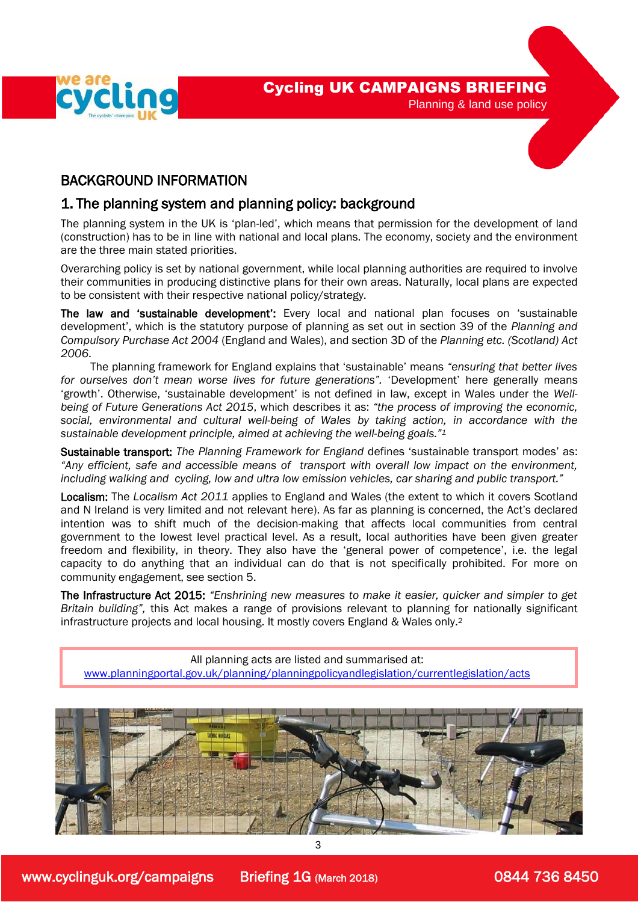

l

I



## 1. The planning system and planning policy: background

 The planning system in the UK is 'plan-led', which means that permission for the development of land (construction) has to be in line with national and local plans. The economy, society and the environment are the three main stated priorities.

Overarching policy is set by national government, while local planning authorities are required to involve their communities in producing distinctive plans for their own areas. Naturally, local plans are expected to be consistent with their respective national policy/strategy.

The law and 'sustainable development': Every local and national plan focuses on 'sustainable development', which is the statutory purpose of planning as set out in section 39 of the *Planning and Compulsory Purchase Act 2004* (England and Wales), and section 3D of the *Planning etc. (Scotland) Act 2006*.

 The planning framework for England explains that 'sustainable' means *"ensuring that better lives for ourselves don't mean worse lives for future generations".* 'Development' here generally means 'growth'. Otherwise, 'sustainable development' is not defined in law, except in Wales under the *Wellbeing of Future Generations Act 2015*, which describes it as: *"the process of improving the economic, social, environmental and cultural well-being of Wales by taking action, in accordance with the sustainable development principle, aimed at achieving the well-being goals."<sup>1</sup>*

Sustainable transport: *The Planning Framework for England* defines 'sustainable transport modes' as: *"Any efficient, safe and accessible means of transport with overall low impact on the environment, including walking and cycling, low and ultra low emission vehicles, car sharing and public transport."* 

Localism: The *Localism Act 2011* applies to England and Wales (the extent to which it covers Scotland and N Ireland is very limited and not relevant here). As far as planning is concerned, the Act's declared intention was to shift much of the decision-making that affects local communities from central government to the lowest level practical level. As a result, local authorities have been given greater freedom and flexibility, in theory. They also have the 'general power of competence', i.e. the legal capacity to do anything that an individual can do that is not specifically prohibited. For more on community engagement, see section 5.

 The Infrastructure Act 2015: *"Enshrining new measures to make it easier, quicker and simpler to get Britain building",* this Act makes a range of provisions relevant to planning for nationally significant infrastructure projects and local housing. It mostly covers England & Wales only.<sup>2</sup>

All planning acts are listed and summarised at: [www.planningportal.gov.uk/planning/planningpolicyandlegislation/currentlegislation/acts](http://www.planningportal.gov.uk/planning/planningpolicyandlegislation/currentlegislation/acts)

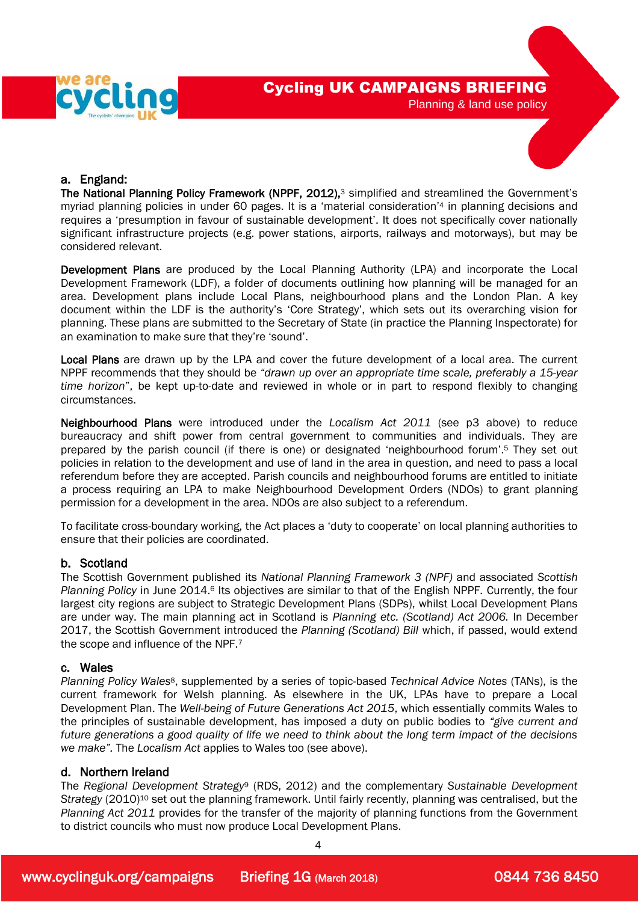



#### a. England:

The National Planning Policy Framework (NPPF, 2012),<sup>3</sup> simplified and streamlined the Government's myriad planning policies in under 60 pages. It is a 'material consideration' <sup>4</sup> in planning decisions and requires a 'presumption in favour of sustainable development'. It does not specifically cover nationally significant infrastructure projects (e.g. power stations, airports, railways and motorways), but may be considered relevant.

Development Plans are produced by the Local Planning Authority (LPA) and incorporate the Local Development Framework (LDF), a folder of documents outlining how planning will be managed for an area. Development plans include Local Plans, neighbourhood plans and the London Plan. A key document within the LDF is the authority's 'Core Strategy', which sets out its overarching vision for planning. These plans are submitted to the Secretary of State (in practice the Planning Inspectorate) for an examination to make sure that they're 'sound'.

Local Plans are drawn up by the LPA and cover the future development of a local area. The current NPPF recommends that they should be *"drawn up over an appropriate time scale, preferably a 15-year time horizon*", be kept up-to-date and reviewed in whole or in part to respond flexibly to changing circumstances.

Neighbourhood Plans were introduced under the *Localism Act 2011* (see p3 above) to reduce bureaucracy and shift power from central government to communities and individuals. They are prepared by the parish council (if there is one) or designated 'neighbourhood forum'.<sup>5</sup> They set out policies in relation to the development and use of land in the area in question, and need to pass a local referendum before they are accepted. Parish councils and neighbourhood forums are entitled to initiate a process requiring an LPA to make Neighbourhood Development Orders (NDOs) to grant planning permission for a development in the area. NDOs are also subject to a referendum.

To facilitate cross-boundary working, the Act places a 'duty to cooperate' on local planning authorities to ensure that their policies are coordinated.

#### b. Scotland

The Scottish Government published its *National Planning Framework 3 (NPF)* and associated *Scottish*  Planning Policy in June 2014.<sup>6</sup> Its objectives are similar to that of the English NPPF. Currently, the four largest city regions are subject to Strategic Development Plans (SDPs), whilst Local Development Plans are under way. The main planning act in Scotland is *Planning etc. (Scotland) Act 2006.* In December 2017, the Scottish Government introduced the *Planning (Scotland) Bill* which, if passed, would extend the scope and influence of the NPF.<sup>7</sup>

#### c. Wales

*Planning Policy Wales*8, supplemented by a series of topic-based *Technical Advice Notes* (TANs), is the current framework for Welsh planning. As elsewhere in the UK, LPAs have to prepare a Local Development Plan. The *Well-being of Future Generations Act 2015*, which essentially commits Wales to the principles of sustainable development, has imposed a duty on public bodies to *"give current and future generations a good quality of life we need to think about the long term impact of the decisions we make".* The *Localism Act* applies to Wales too (see above).

#### d. Northern Ireland

The *Regional Development Strategy*<sup>9</sup> (RDS, 2012) and the complementary *Sustainable Development Strategy* (2010)<sup>10</sup> set out the planning framework. Until fairly recently, planning was centralised, but the *Planning Act 2011* provides for the transfer of the majority of planning functions from the Government to district councils who must now produce Local Development Plans.

4

www.cyclinguk.org/campaigns Briefing 1G (March 2018) 0844 736 8450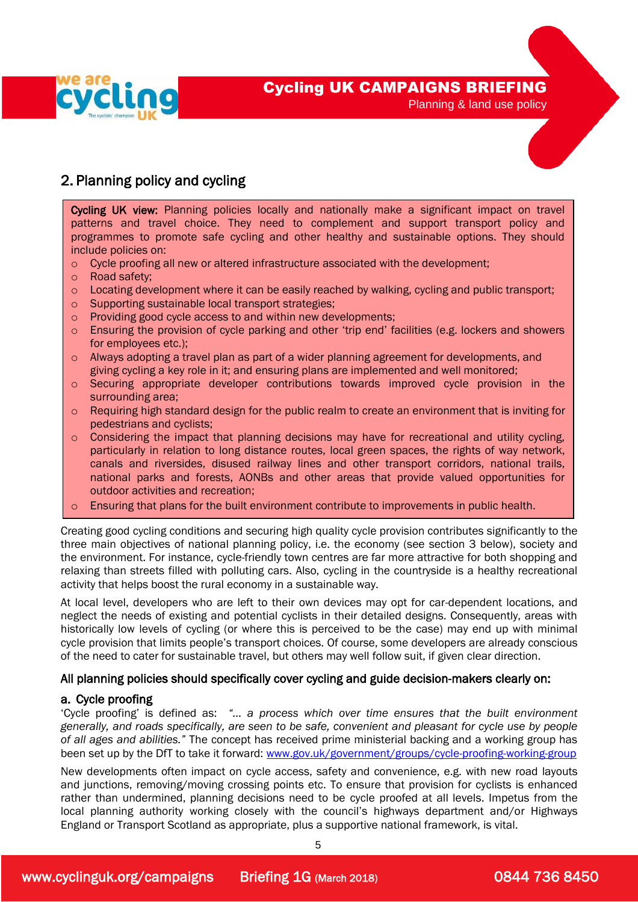

## 2. Planning policy and cycling

Cycling UK view: Planning policies locally and nationally make a significant impact on travel patterns and travel choice. They need to complement and support transport policy and programmes to promote safe cycling and other healthy and sustainable options. They should include policies on:

- o Cycle proofing all new or altered infrastructure associated with the development;
- o Road safety;

 $\overline{a}$  $\overline{\phantom{a}}$  $\overline{\phantom{a}}$  $\overline{\phantom{a}}$  $\overline{\phantom{a}}$  $\overline{\phantom{a}}$  $\overline{\phantom{a}}$ ┃ I I I I I I I I I I I I I I

- $\circ$  Locating development where it can be easily reached by walking, cycling and public transport;
- o Supporting sustainable local transport strategies;
- o Providing good cycle access to and within new developments;
- $\circ$  Ensuring the provision of cycle parking and other 'trip end' facilities (e.g. lockers and showers for employees etc.);
- o Always adopting a travel plan as part of a wider planning agreement for developments, and giving cycling a key role in it; and ensuring plans are implemented and well monitored;
- o Securing appropriate developer contributions towards improved cycle provision in the surrounding area;
- $\circ$  Requiring high standard design for the public realm to create an environment that is inviting for pedestrians and cyclists;
- o Considering the impact that planning decisions may have for recreational and utility cycling, particularly in relation to long distance routes, local green spaces, the rights of way network, canals and riversides, disused railway lines and other transport corridors, national trails, national parks and forests, AONBs and other areas that provide valued opportunities for outdoor activities and recreation;
- $\circ$  Ensuring that plans for the built environment contribute to improvements in public health.

Creating good cycling conditions and securing high quality cycle provision contributes significantly to the three main objectives of national planning policy, i.e. the economy (see section 3 below), society and the environment. For instance, cycle-friendly town centres are far more attractive for both shopping and relaxing than streets filled with polluting cars. Also, cycling in the countryside is a healthy recreational activity that helps boost the rural economy in a sustainable way.

At local level, developers who are left to their own devices may opt for car-dependent locations, and neglect the needs of existing and potential cyclists in their detailed designs. Consequently, areas with historically low levels of cycling (or where this is perceived to be the case) may end up with minimal cycle provision that limits people's transport choices. Of course, some developers are already conscious of the need to cater for sustainable travel, but others may well follow suit, if given clear direction.

#### All planning policies should specifically cover cycling and guide decision-makers clearly on:

#### a. Cycle proofing

'Cycle proofing' is defined as: *"… a process which over time ensures that the built environment generally, and roads specifically, are seen to be safe, convenient and pleasant for cycle use by people of all ages and abilities."* The concept has received prime ministerial backing and a working group has been set up by the DfT to take it forward: [www.gov.uk/government/groups/cycle-proofing-working-group](http://www.gov.uk/government/groups/cycle-proofing-working-group)

New developments often impact on cycle access, safety and convenience, e.g. with new road layouts and junctions, removing/moving crossing points etc. To ensure that provision for cyclists is enhanced rather than undermined, planning decisions need to be cycle proofed at all levels. Impetus from the local planning authority working closely with the council's highways department and/or Highways England or Transport Scotland as appropriate, plus a supportive national framework, is vital.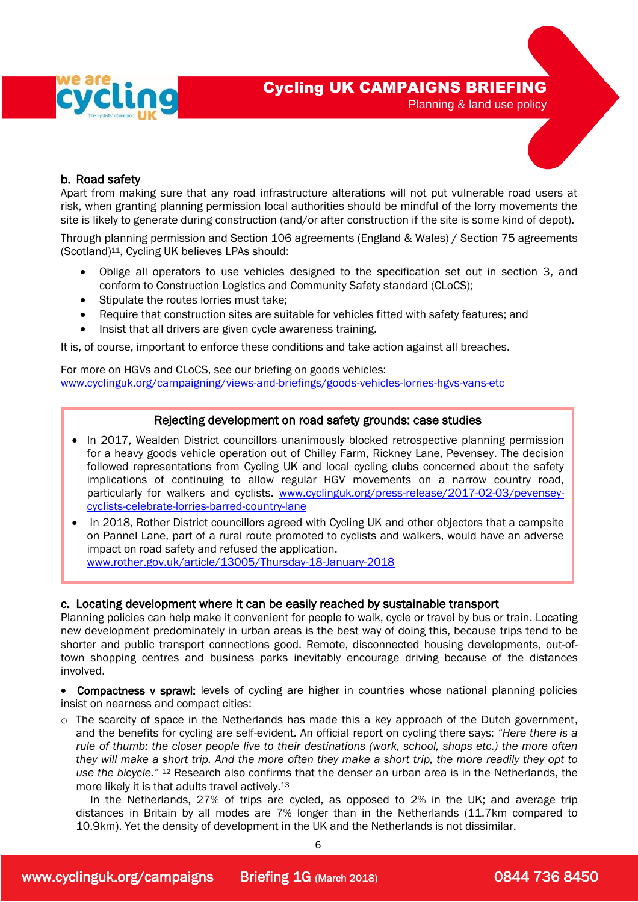



### b. Road safety

Apart from making sure that any road infrastructure alterations will not put vulnerable road users at risk, when granting planning permission local authorities should be mindful of the lorry movements the site is likely to generate during construction (and/or after construction if the site is some kind of depot).

Through planning permission and Section 106 agreements (England & Wales) / Section 75 agreements (Scotland)11, Cycling UK believes LPAs should:

- Oblige all operators to use vehicles designed to the specification set out in section 3, and conform to Construction Logistics and Community Safety standard (CLoCS);
- Stipulate the routes lorries must take;
- Require that construction sites are suitable for vehicles fitted with safety features; and
- Insist that all drivers are given cycle awareness training.

It is, of course, important to enforce these conditions and take action against all breaches.

For more on HGVs and CLoCS, see our briefing on goods vehicles: www.cyclinguk.org/campaigning/views-and-briefings/goods-vehicles-lorries-hgvs-vans-etc

#### Rejecting development on road safety grounds: case studies

- In 2017, Wealden District councillors unanimously blocked retrospective planning permission for a heavy goods vehicle operation out of Chilley Farm, Rickney Lane, Pevensey. The decision followed representations from Cycling UK and local cycling clubs concerned about the safety implications of continuing to allow regular HGV movements on a narrow country road, particularly for walkers and cyclists. [www.cyclinguk.org/press-release/2017-02-03/pevensey](http://www.cyclinguk.org/press-release/2017-02-03/pevensey-cyclists-celebrate-lorries-barred-country-lane)[cyclists-celebrate-lorries-barred-country-lane](http://www.cyclinguk.org/press-release/2017-02-03/pevensey-cyclists-celebrate-lorries-barred-country-lane)
- In 2018, Rother District councillors agreed with Cycling UK and other objectors that a campsite on Pannel Lane, part of a rural route promoted to cyclists and walkers, would have an adverse impact on road safety and refused the application. [www.rother.gov.uk/article/13005/Thursday-18-January-2018](http://www.rother.gov.uk/article/13005/Thursday-18-January-2018)

#### c. Locating development where it can be easily reached by sustainable transport

Planning policies can help make it convenient for people to walk, cycle or travel by bus or train. Locating new development predominately in urban areas is the best way of doing this, because trips tend to be shorter and public transport connections good. Remote, disconnected housing developments, out-oftown shopping centres and business parks inevitably encourage driving because of the distances involved.

 Compactness v sprawl: levels of cycling are higher in countries whose national planning policies insist on nearness and compact cities:

o The scarcity of space in the Netherlands has made this a key approach of the Dutch government, and the benefits for cycling are self-evident. An official report on cycling there says: *"Here there is a rule of thumb: the closer people live to their destinations (work, school, shops etc.) the more often they will make a short trip. And the more often they make a short trip, the more readily they opt to use the bicycle."* <sup>12</sup> Research also confirms that the denser an urban area is in the Netherlands, the more likely it is that adults travel actively.<sup>13</sup>

 In the Netherlands, 27% of trips are cycled, as opposed to 2% in the UK; and average trip distances in Britain by all modes are 7% longer than in the Netherlands (11.7km compared to 10.9km). Yet the density of development in the UK and the Netherlands is not dissimilar.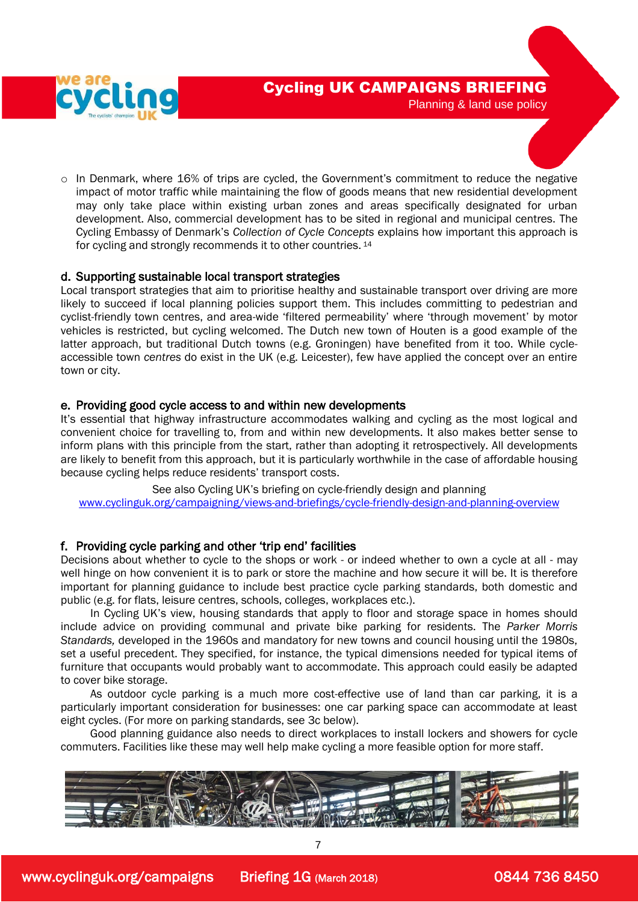



o In Denmark, where 16% of trips are cycled, the Government's commitment to reduce the negative impact of motor traffic while maintaining the flow of goods means that new residential development may only take place within existing urban zones and areas specifically designated for urban development. Also, commercial development has to be sited in regional and municipal centres. The Cycling Embassy of Denmark's *Collection of Cycle Concepts* explains how important this approach is for cycling and strongly recommends it to other countries. 14

#### d. Supporting sustainable local transport strategies

Local transport strategies that aim to prioritise healthy and sustainable transport over driving are more likely to succeed if local planning policies support them. This includes committing to pedestrian and cyclist-friendly town centres, and area-wide 'filtered permeability' where 'through movement' by motor vehicles is restricted, but cycling welcomed. The Dutch new town of Houten is a good example of the latter approach, but traditional Dutch towns (e.g. Groningen) have benefited from it too. While cycleaccessible town *centres* do exist in the UK (e.g. Leicester), few have applied the concept over an entire town or city.

#### e. Providing good cycle access to and within new developments

It's essential that highway infrastructure accommodates walking and cycling as the most logical and convenient choice for travelling to, from and within new developments. It also makes better sense to inform plans with this principle from the start, rather than adopting it retrospectively. All developments are likely to benefit from this approach, but it is particularly worthwhile in the case of affordable housing because cycling helps reduce residents' transport costs.

See also Cycling UK's briefing on cycle-friendly design and planning [www.cyclinguk.org/campaigning/views-and-briefings/cycle-friendly-design-and-planning-overview](http://www.ctc.org.uk/campaigning/views-and-briefings/cycle-friendly-design-and-planning-overview)

#### f. Providing cycle parking and other 'trip end' facilities

Decisions about whether to cycle to the shops or work - or indeed whether to own a cycle at all - may well hinge on how convenient it is to park or store the machine and how secure it will be. It is therefore important for planning guidance to include best practice cycle parking standards, both domestic and public (e.g. for flats, leisure centres, schools, colleges, workplaces etc.).

 In Cycling UK's view, housing standards that apply to floor and storage space in homes should include advice on providing communal and private bike parking for residents. The *Parker Morris Standards,* developed in the 1960s and mandatory for new towns and council housing until the 1980s, set a useful precedent. They specified, for instance, the typical dimensions needed for typical items of furniture that occupants would probably want to accommodate. This approach could easily be adapted to cover bike storage.

 As outdoor cycle parking is a much more cost-effective use of land than car parking, it is a particularly important consideration for businesses: one car parking space can accommodate at least eight cycles. (For more on parking standards, see 3c below).

 Good planning guidance also needs to direct workplaces to install lockers and showers for cycle commuters. Facilities like these may well help make cycling a more feasible option for more staff.



7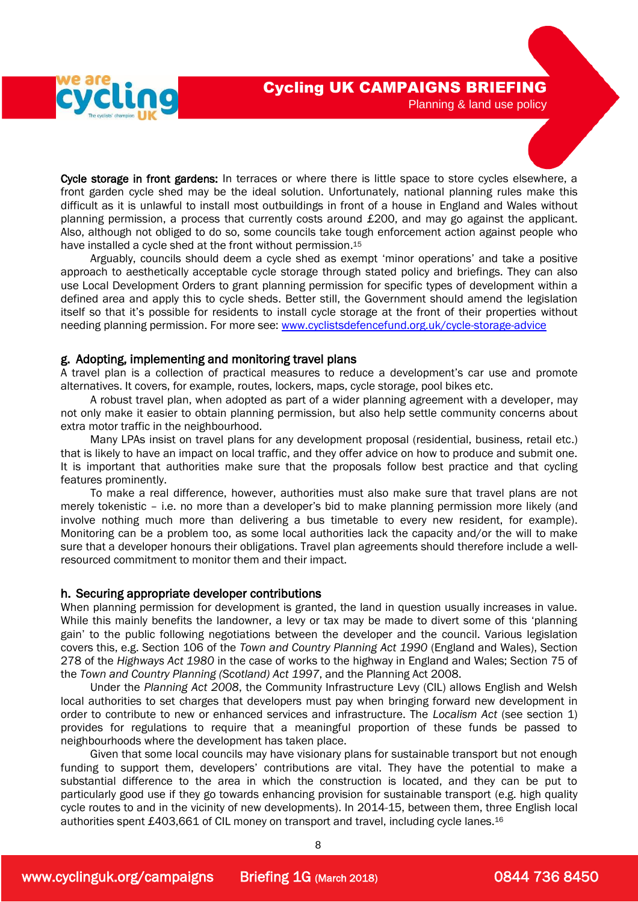



Cycle storage in front gardens: In terraces or where there is little space to store cycles elsewhere, a front garden cycle shed may be the ideal solution. Unfortunately, national planning rules make this difficult as it is unlawful to install most outbuildings in front of a house in England and Wales without planning permission, a process that currently costs around £200, and may go against the applicant. Also, although not obliged to do so, some councils take tough enforcement action against people who have installed a cycle shed at the front without permission.<sup>15</sup>

 Arguably, councils should deem a cycle shed as exempt 'minor operations' and take a positive approach to aesthetically acceptable cycle storage through stated policy and briefings. They can also use Local Development Orders to grant planning permission for specific types of development within a defined area and apply this to cycle sheds. Better still, the Government should amend the legislation itself so that it's possible for residents to install cycle storage at the front of their properties without needing planning permission. For more see: [www.cyclistsdefencefund.org.uk/cycle-storage-advice](http://www.cyclistsdefencefund.org.uk/cycle-storage-advice)

#### g. Adopting, implementing and monitoring travel plans

A travel plan is a collection of practical measures to reduce a development's car use and promote alternatives. It covers, for example, routes, lockers, maps, cycle storage, pool bikes etc.

 A robust travel plan, when adopted as part of a wider planning agreement with a developer, may not only make it easier to obtain planning permission, but also help settle community concerns about extra motor traffic in the neighbourhood.

 Many LPAs insist on travel plans for any development proposal (residential, business, retail etc.) that is likely to have an impact on local traffic, and they offer advice on how to produce and submit one. It is important that authorities make sure that the proposals follow best practice and that cycling features prominently.

 To make a real difference, however, authorities must also make sure that travel plans are not merely tokenistic – i.e. no more than a developer's bid to make planning permission more likely (and involve nothing much more than delivering a bus timetable to every new resident, for example). Monitoring can be a problem too, as some local authorities lack the capacity and/or the will to make sure that a developer honours their obligations. Travel plan agreements should therefore include a wellresourced commitment to monitor them and their impact.

#### h. Securing appropriate developer contributions

When planning permission for development is granted, the land in question usually increases in value. While this mainly benefits the landowner, a levy or tax may be made to divert some of this 'planning gain' to the public following negotiations between the developer and the council. Various legislation covers this, e.g. Section 106 of the *Town and Country Planning Act 1990* (England and Wales), Section 278 of the *Highways Act 1980* in the case of works to the highway in England and Wales; Section 75 of the *Town and Country Planning (Scotland) Act 1997*, and the Planning Act 2008.

 Under the *Planning Act 2008*, the Community Infrastructure Levy (CIL) allows English and Welsh local authorities to set charges that developers must pay when bringing forward new development in order to contribute to new or enhanced services and infrastructure. The *Localism Act* (see section 1) provides for regulations to require that a meaningful proportion of these funds be passed to neighbourhoods where the development has taken place.

 Given that some local councils may have visionary plans for sustainable transport but not enough funding to support them, developers' contributions are vital. They have the potential to make a substantial difference to the area in which the construction is located, and they can be put to particularly good use if they go towards enhancing provision for sustainable transport (e.g. high quality cycle routes to and in the vicinity of new developments). In 2014-15, between them, three English local authorities spent £403,661 of CIL money on transport and travel, including cycle lanes.<sup>16</sup>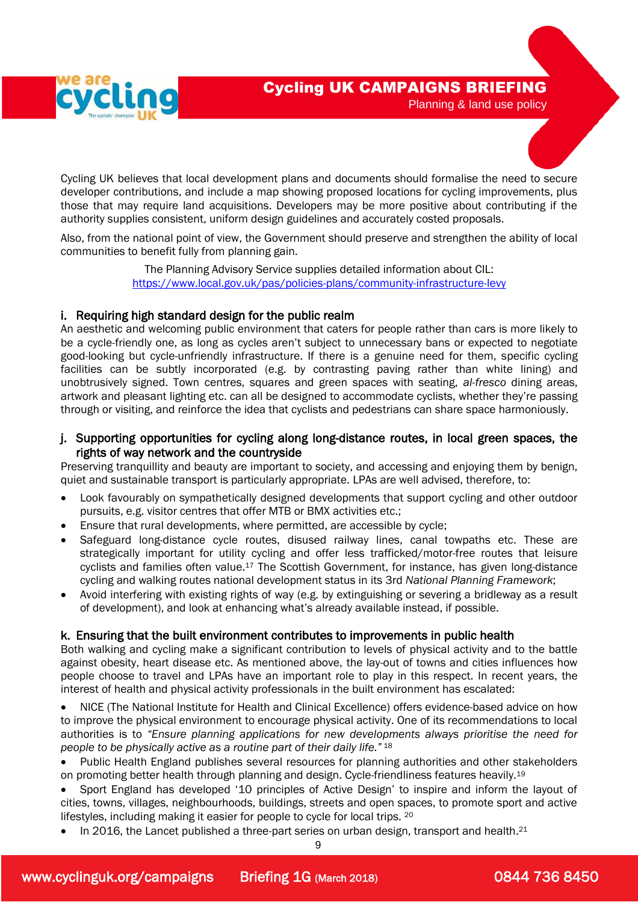



Cycling UK believes that local development plans and documents should formalise the need to secure developer contributions, and include a map showing proposed locations for cycling improvements, plus those that may require land acquisitions. Developers may be more positive about contributing if the authority supplies consistent, uniform design guidelines and accurately costed proposals.

Also, from the national point of view, the Government should preserve and strengthen the ability of local communities to benefit fully from planning gain.

> The Planning Advisory Service supplies detailed information about CIL: <https://www.local.gov.uk/pas/policies-plans/community-infrastructure-levy>

#### i. Requiring high standard design for the public realm

An aesthetic and welcoming public environment that caters for people rather than cars is more likely to be a cycle-friendly one, as long as cycles aren't subject to unnecessary bans or expected to negotiate good-looking but cycle-unfriendly infrastructure. If there is a genuine need for them, specific cycling facilities can be subtly incorporated (e.g. by contrasting paving rather than white lining) and unobtrusively signed. Town centres, squares and green spaces with seating, *al-fresco* dining areas, artwork and pleasant lighting etc. can all be designed to accommodate cyclists, whether they're passing through or visiting, and reinforce the idea that cyclists and pedestrians can share space harmoniously.

#### j. Supporting opportunities for cycling along long-distance routes, in local green spaces, the rights of way network and the countryside

Preserving tranquillity and beauty are important to society, and accessing and enjoying them by benign, quiet and sustainable transport is particularly appropriate. LPAs are well advised, therefore, to:

- Look favourably on sympathetically designed developments that support cycling and other outdoor pursuits, e.g. visitor centres that offer MTB or BMX activities etc.;
- Ensure that rural developments, where permitted, are accessible by cycle;
- Safeguard long-distance cycle routes, disused railway lines, canal towpaths etc. These are strategically important for utility cycling and offer less trafficked/motor-free routes that leisure cyclists and families often value.<sup>17</sup> The Scottish Government, for instance, has given long-distance cycling and walking routes national development status in its 3rd *National Planning Framework*;
- Avoid interfering with existing rights of way (e.g. by extinguishing or severing a bridleway as a result of development), and look at enhancing what's already available instead, if possible.

#### k. Ensuring that the built environment contributes to improvements in public health

Both walking and cycling make a significant contribution to levels of physical activity and to the battle against obesity, heart disease etc. As mentioned above, the lay-out of towns and cities influences how people choose to travel and LPAs have an important role to play in this respect. In recent years, the interest of health and physical activity professionals in the built environment has escalated:

 NICE (The National Institute for Health and Clinical Excellence) offers evidence-based advice on how to improve the physical environment to encourage physical activity. One of its recommendations to local authorities is to *"Ensure planning applications for new developments always prioritise the need for people to be physically active as a routine part of their daily life."* <sup>18</sup>

• Public Health England publishes several resources for planning authorities and other stakeholders on promoting better health through planning and design. Cycle-friendliness features heavily.<sup>19</sup>

- Sport England has developed '10 principles of Active Design' to inspire and inform the layout of cities, towns, villages, neighbourhoods, buildings, streets and open spaces, to promote sport and active lifestyles, including making it easier for people to cycle for local trips. <sup>20</sup>
- $\bullet$  In 2016, the Lancet published a three-part series on urban design, transport and health.<sup>21</sup>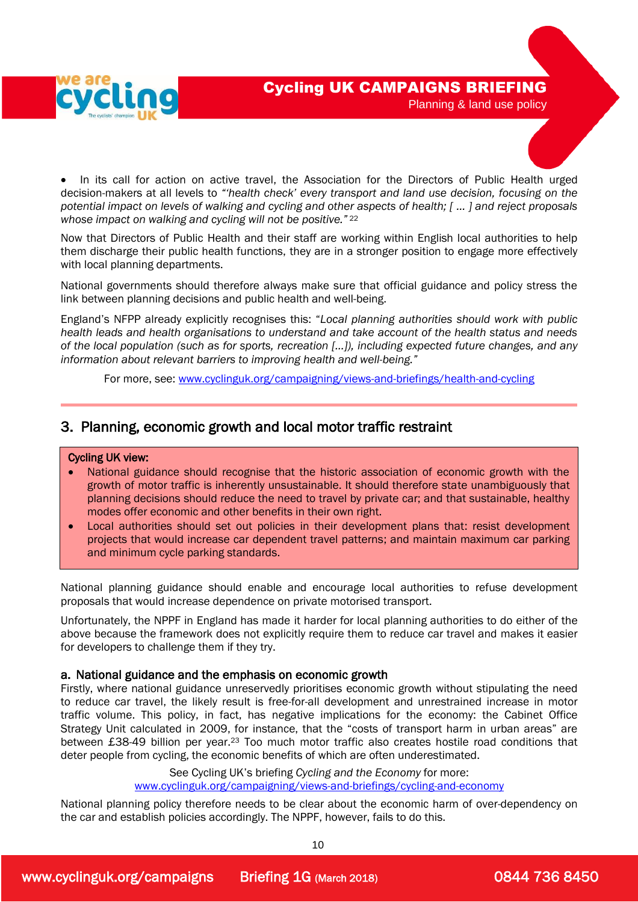



 In its call for action on active travel, the Association for the Directors of Public Health urged decision-makers at all levels to *"'health check' every transport and land use decision, focusing on the potential impact on levels of walking and cycling and other aspects of health; [ … ] and reject proposals whose impact on walking and cycling will not be positive."* <sup>22</sup>

Now that Directors of Public Health and their staff are working within English local authorities to help them discharge their public health functions, they are in a stronger position to engage more effectively with local planning departments.

National governments should therefore always make sure that official guidance and policy stress the link between planning decisions and public health and well-being.

England's NFPP already explicitly recognises this: "*Local planning authorities should work with public health leads and health organisations to understand and take account of the health status and needs of the local population (such as for sports, recreation […]), including expected future changes, and any information about relevant barriers to improving health and well-being."*

For more, see: [www.cyclinguk.org/campaigning/views-and-briefings/health-and-cycling](http://www.ctc.org.uk/campaigning/views-and-briefings/health-and-cycling)

## 3. Planning, economic growth and local motor traffic restraint

#### Cycling UK view:

L

- National guidance should recognise that the historic association of economic growth with the growth of motor traffic is inherently unsustainable. It should therefore state unambiguously that planning decisions should reduce the need to travel by private car; and that sustainable, healthy modes offer economic and other benefits in their own right.
- Local authorities should set out policies in their development plans that: resist development projects that would increase car dependent travel patterns; and maintain maximum car parking and minimum cycle parking standards.

National planning guidance should enable and encourage local authorities to refuse development proposals that would increase dependence on private motorised transport.

Unfortunately, the NPPF in England has made it harder for local planning authorities to do either of the above because the framework does not explicitly require them to reduce car travel and makes it easier for developers to challenge them if they try.

#### a. National guidance and the emphasis on economic growth

Firstly, where national guidance unreservedly prioritises economic growth without stipulating the need to reduce car travel, the likely result is free-for-all development and unrestrained increase in motor traffic volume. This policy, in fact, has negative implications for the economy: the Cabinet Office Strategy Unit calculated in 2009, for instance, that the "costs of transport harm in urban areas" are between £38-49 billion per year.<sup>23</sup> Too much motor traffic also creates hostile road conditions that deter people from cycling, the economic benefits of which are often underestimated.

> See Cycling UK's briefing *Cycling and the Economy* for more: [www.cyclinguk.org/campaigning/views-and-briefings/cycling-and-economy](http://www.ctc.org.uk/campaigning/views-and-briefings/cycling-and-economy)

National planning policy therefore needs to be clear about the economic harm of over-dependency on the car and establish policies accordingly. The NPPF, however, fails to do this.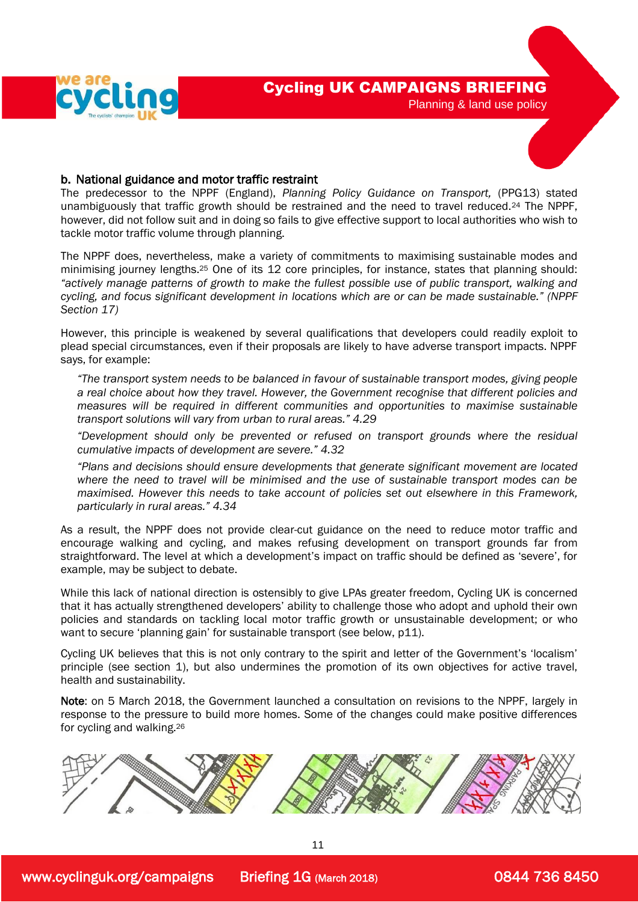



#### b. National guidance and motor traffic restraint

The predecessor to the NPPF (England), *Planning Policy Guidance on Transport,* (PPG13) stated unambiguously that traffic growth should be restrained and the need to travel reduced.<sup>24</sup> The NPPF, however, did not follow suit and in doing so fails to give effective support to local authorities who wish to tackle motor traffic volume through planning.

The NPPF does, nevertheless, make a variety of commitments to maximising sustainable modes and minimising journey lengths. <sup>25</sup> One of its 12 core principles, for instance, states that planning should: *"actively manage patterns of growth to make the fullest possible use of public transport, walking and cycling, and focus significant development in locations which are or can be made sustainable." (NPPF Section 17)*

However, this principle is weakened by several qualifications that developers could readily exploit to plead special circumstances, even if their proposals are likely to have adverse transport impacts. NPPF says, for example:

*"The transport system needs to be balanced in favour of sustainable transport modes, giving people a real choice about how they travel. However, the Government recognise that different policies and measures will be required in different communities and opportunities to maximise sustainable transport solutions will vary from urban to rural areas." 4.29* 

*"Development should only be prevented or refused on transport grounds where the residual cumulative impacts of development are severe." 4.32*

*"Plans and decisions should ensure developments that generate significant movement are located where the need to travel will be minimised and the use of sustainable transport modes can be maximised. However this needs to take account of policies set out elsewhere in this Framework, particularly in rural areas." 4.34*

As a result, the NPPF does not provide clear-cut guidance on the need to reduce motor traffic and encourage walking and cycling, and makes refusing development on transport grounds far from straightforward. The level at which a development's impact on traffic should be defined as 'severe', for example, may be subject to debate.

While this lack of national direction is ostensibly to give LPAs greater freedom, Cycling UK is concerned that it has actually strengthened developers' ability to challenge those who adopt and uphold their own policies and standards on tackling local motor traffic growth or unsustainable development; or who want to secure 'planning gain' for sustainable transport (see below, p11).

Cycling UK believes that this is not only contrary to the spirit and letter of the Government's 'localism' principle (see section 1), but also undermines the promotion of its own objectives for active travel, health and sustainability.

Note: on 5 March 2018, the Government launched a consultation on revisions to the NPPF, largely in response to the pressure to build more homes. Some of the changes could make positive differences for cycling and walking.26

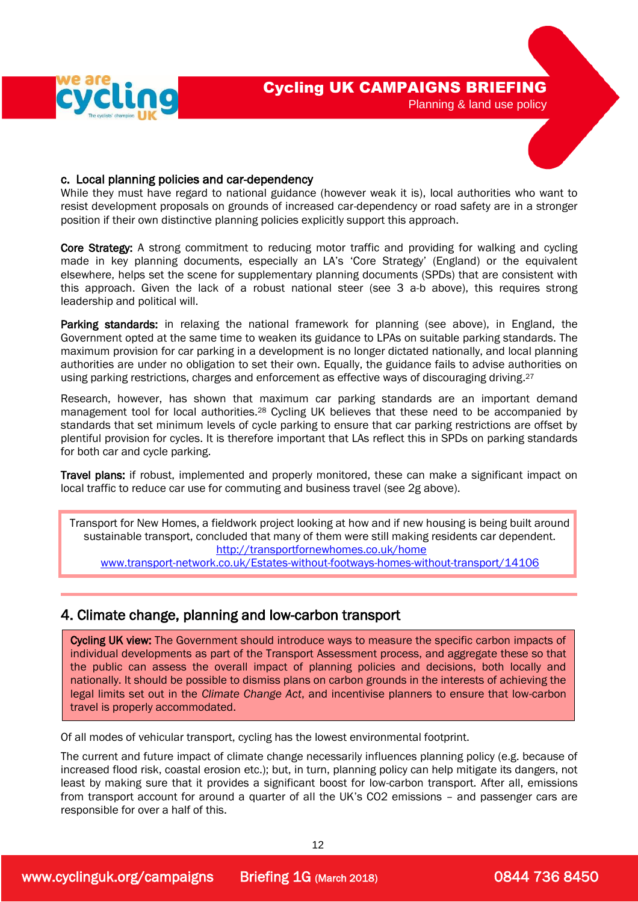



While they must have regard to national guidance (however weak it is), local authorities who want to resist development proposals on grounds of increased car-dependency or road safety are in a stronger position if their own distinctive planning policies explicitly support this approach.

Core Strategy: A strong commitment to reducing motor traffic and providing for walking and cycling made in key planning documents, especially an LA's 'Core Strategy' (England) or the equivalent elsewhere, helps set the scene for supplementary planning documents (SPDs) that are consistent with this approach. Given the lack of a robust national steer (see 3 a-b above), this requires strong leadership and political will.

Parking standards: in relaxing the national framework for planning (see above), in England, the Government opted at the same time to weaken its guidance to LPAs on suitable parking standards. The maximum provision for car parking in a development is no longer dictated nationally, and local planning authorities are under no obligation to set their own. Equally, the guidance fails to advise authorities on using parking restrictions, charges and enforcement as effective ways of discouraging driving.<sup>27</sup>

Research, however, has shown that maximum car parking standards are an important demand management tool for local authorities.<sup>28</sup> Cycling UK believes that these need to be accompanied by standards that set minimum levels of cycle parking to ensure that car parking restrictions are offset by plentiful provision for cycles. It is therefore important that LAs reflect this in SPDs on parking standards for both car and cycle parking.

Travel plans: if robust, implemented and properly monitored, these can make a significant impact on local traffic to reduce car use for commuting and business travel (see 2g above).

Transport for New Homes, a fieldwork project looking at how and if new housing is being built around sustainable transport, concluded that many of them were still making residents car dependent. <http://transportfornewhomes.co.uk/home>

[www.transport-network.co.uk/Estates-without-footways-homes-without-transport/14106](http://www.transport-network.co.uk/Estates-without-footways-homes-without-transport/14106)

## 4. Climate change, planning and low-carbon transport

Cycling UK view: The Government should introduce ways to measure the specific carbon impacts of individual developments as part of the Transport Assessment process, and aggregate these so that the public can assess the overall impact of planning policies and decisions, both locally and nationally. It should be possible to dismiss plans on carbon grounds in the interests of achieving the legal limits set out in the *Climate Change Act*, and incentivise planners to ensure that low-carbon travel is properly accommodated.

Of all modes of vehicular transport, cycling has the lowest environmental footprint.

The current and future impact of climate change necessarily influences planning policy (e.g. because of increased flood risk, coastal erosion etc.); but, in turn, planning policy can help mitigate its dangers, not least by making sure that it provides a significant boost for low-carbon transport. After all, emissions from transport account for around a quarter of all the UK's CO2 emissions – and passenger cars are responsible for over a half of this.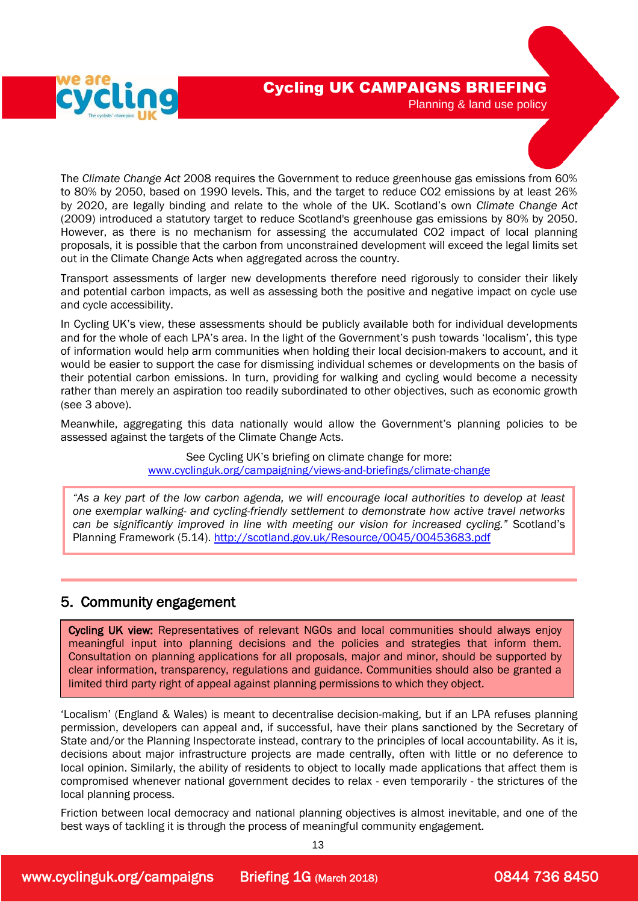



The *Climate Change Act* 2008 requires the Government to reduce greenhouse gas emissions from 60% to 80% by 2050, based on 1990 levels. This, and the target to reduce CO2 emissions by at least 26% by 2020, are legally binding and relate to the whole of the UK. Scotland's own *Climate Change Act*  (2009) introduced a statutory target to reduce Scotland's greenhouse gas emissions by 80% by 2050. However, as there is no mechanism for assessing the accumulated CO2 impact of local planning proposals, it is possible that the carbon from unconstrained development will exceed the legal limits set out in the Climate Change Acts when aggregated across the country.

Transport assessments of larger new developments therefore need rigorously to consider their likely and potential carbon impacts, as well as assessing both the positive and negative impact on cycle use and cycle accessibility.

In Cycling UK's view, these assessments should be publicly available both for individual developments and for the whole of each LPA's area. In the light of the Government's push towards 'localism', this type of information would help arm communities when holding their local decision-makers to account, and it would be easier to support the case for dismissing individual schemes or developments on the basis of their potential carbon emissions. In turn, providing for walking and cycling would become a necessity rather than merely an aspiration too readily subordinated to other objectives, such as economic growth (see 3 above).

Meanwhile, aggregating this data nationally would allow the Government's planning policies to be assessed against the targets of the Climate Change Acts.

> See Cycling UK's briefing on climate change for more: [www.cyclinguk.org/campaigning/views-and-briefings/climate-change](http://www.ctc.org.uk/campaigning/views-and-briefings/climate-change)

*"As a key part of the low carbon agenda, we will encourage local authorities to develop at least one exemplar walking- and cycling-friendly settlement to demonstrate how active travel networks can be significantly improved in line with meeting our vision for increased cycling."* Scotland's Planning Framework (5.14).<http://scotland.gov.uk/Resource/0045/00453683.pdf>

## 5. Community engagement

Cycling UK view: Representatives of relevant NGOs and local communities should always enjoy meaningful input into planning decisions and the policies and strategies that inform them. Consultation on planning applications for all proposals, major and minor, should be supported by clear information, transparency, regulations and guidance. Communities should also be granted a limited third party right of appeal against planning permissions to which they object.

'Localism' (England & Wales) is meant to decentralise decision-making, but if an LPA refuses planning permission, developers can appeal and, if successful, have their plans sanctioned by the Secretary of State and/or the Planning Inspectorate instead, contrary to the principles of local accountability. As it is, decisions about major infrastructure projects are made centrally, often with little or no deference to local opinion. Similarly, the ability of residents to object to locally made applications that affect them is compromised whenever national government decides to relax - even temporarily - the strictures of the local planning process.

Friction between local democracy and national planning objectives is almost inevitable, and one of the best ways of tackling it is through the process of meaningful community engagement.

13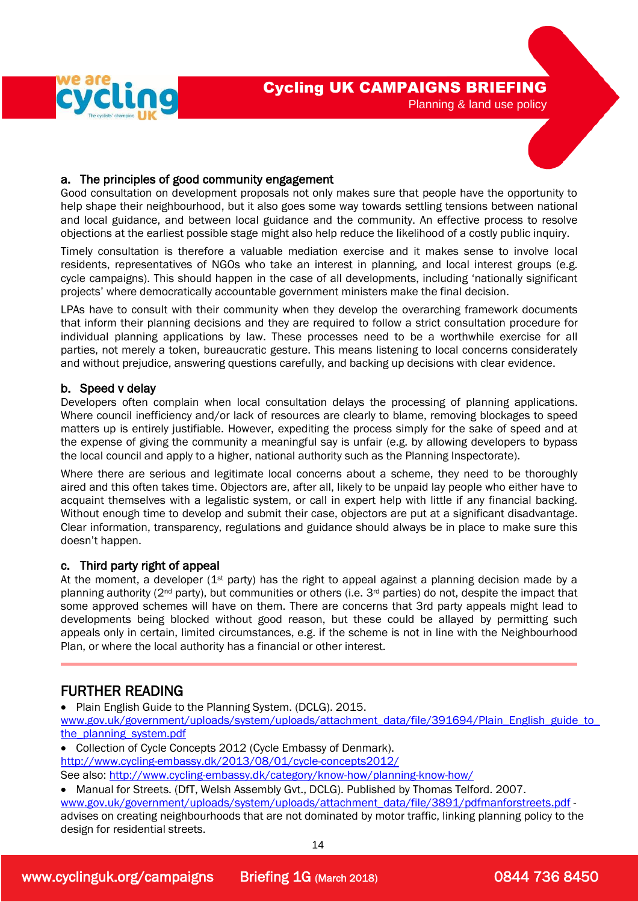

#### a. The principles of good community engagement

Good consultation on development proposals not only makes sure that people have the opportunity to help shape their neighbourhood, but it also goes some way towards settling tensions between national and local guidance, and between local guidance and the community. An effective process to resolve objections at the earliest possible stage might also help reduce the likelihood of a costly public inquiry.

Timely consultation is therefore a valuable mediation exercise and it makes sense to involve local residents, representatives of NGOs who take an interest in planning, and local interest groups (e.g. cycle campaigns). This should happen in the case of all developments, including 'nationally significant projects' where democratically accountable government ministers make the final decision.

LPAs have to consult with their community when they develop the overarching framework documents that inform their planning decisions and they are required to follow a strict consultation procedure for individual planning applications by law. These processes need to be a worthwhile exercise for all parties, not merely a token, bureaucratic gesture. This means listening to local concerns considerately and without prejudice, answering questions carefully, and backing up decisions with clear evidence.

#### b. Speed v delay

Developers often complain when local consultation delays the processing of planning applications. Where council inefficiency and/or lack of resources are clearly to blame, removing blockages to speed matters up is entirely justifiable. However, expediting the process simply for the sake of speed and at the expense of giving the community a meaningful say is unfair (e.g. by allowing developers to bypass the local council and apply to a higher, national authority such as the Planning Inspectorate).

Where there are serious and legitimate local concerns about a scheme, they need to be thoroughly aired and this often takes time. Objectors are, after all, likely to be unpaid lay people who either have to acquaint themselves with a legalistic system, or call in expert help with little if any financial backing. Without enough time to develop and submit their case, objectors are put at a significant disadvantage. Clear information, transparency, regulations and guidance should always be in place to make sure this doesn't happen.

#### c. Third party right of appeal

At the moment, a developer ( $1<sup>st</sup>$  party) has the right to appeal against a planning decision made by a planning authority ( $2<sup>nd</sup>$  party), but communities or others (i.e.  $3<sup>rd</sup>$  parties) do not, despite the impact that some approved schemes will have on them. There are concerns that 3rd party appeals might lead to developments being blocked without good reason, but these could be allayed by permitting such appeals only in certain, limited circumstances, e.g. if the scheme is not in line with the Neighbourhood Plan, or where the local authority has a financial or other interest.

## FURTHER READING

• Plain English Guide to the Planning System. (DCLG). 2015.

[www.gov.uk/government/uploads/system/uploads/attachment\\_data/file/391694/Plain\\_English\\_guide\\_to\\_](http://www.gov.uk/government/uploads/system/uploads/attachment_data/file/391694/Plain_English_guide_to_the_planning_system.pdf) [the\\_planning\\_system.pdf](http://www.gov.uk/government/uploads/system/uploads/attachment_data/file/391694/Plain_English_guide_to_the_planning_system.pdf)

• Collection of Cycle Concepts 2012 (Cycle Embassy of Denmark).

<http://www.cycling-embassy.dk/2013/08/01/cycle-concepts2012/>

See also:<http://www.cycling-embassy.dk/category/know-how/planning-know-how/>

• Manual for Streets. (DfT, Welsh Assembly Gvt., DCLG). Published by Thomas Telford. 2007. [www.gov.uk/government/uploads/system/uploads/attachment\\_data/file/3891/pdfmanforstreets.pdf](http://www.gov.uk/government/uploads/system/uploads/attachment_data/file/3891/pdfmanforstreets.pdf) advises on creating neighbourhoods that are not dominated by motor traffic, linking planning policy to the design for residential streets.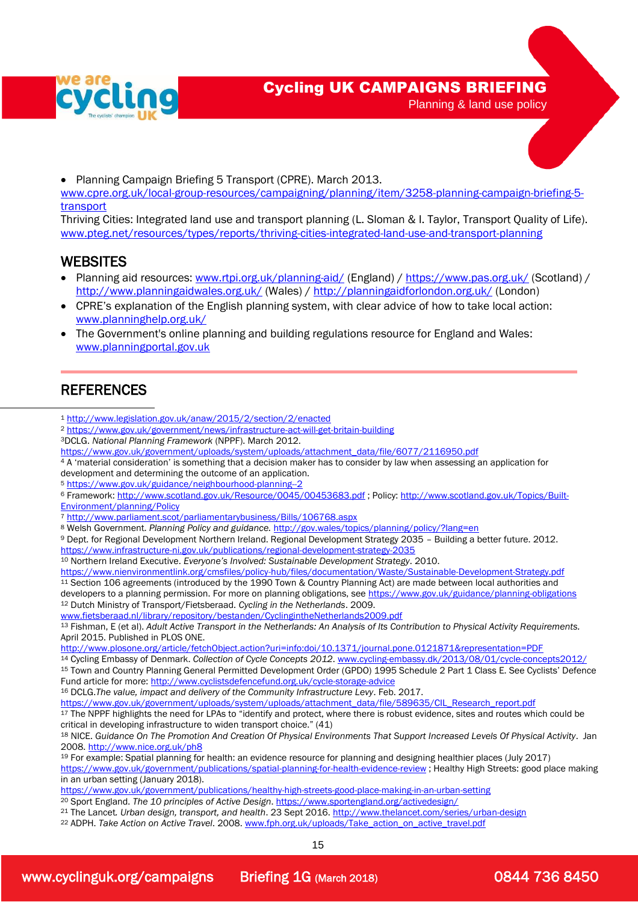

## Cycling UK CAMPAIGNS BRIEFING

Planning & land use policy



• Planning Campaign Briefing 5 Transport (CPRE). March 2013.

[www.cpre.org.uk/local-group-resources/campaigning/planning/item/3258-planning-campaign-briefing-5](http://www.cpre.org.uk/local-group-resources/campaigning/planning/item/3258-planning-campaign-briefing-5-transport) [transport](http://www.cpre.org.uk/local-group-resources/campaigning/planning/item/3258-planning-campaign-briefing-5-transport)

Thriving Cities: Integrated land use and transport planning (L. Sloman & I. Taylor, Transport Quality of Life). [www.pteg.net/resources/types/reports/thriving-cities-integrated-land-use-and-transport-planning](http://www.pteg.net/resources/types/reports/thriving-cities-integrated-land-use-and-transport-planning) 

## **WEBSITES**

- Planning aid resources: [www.rtpi.org.uk/planning-aid/](http://www.rtpi.org.uk/planning-aid/) (England) /<https://www.pas.org.uk/> (Scotland) / <http://www.planningaidwales.org.uk/> (Wales) /<http://planningaidforlondon.org.uk/> (London)
- CPRE's explanation of the English planning system, with clear advice of how to take local action: [www.planninghelp.org.uk/](http://www.planninghelp.org.uk/)
- The Government's online planning and building regulations resource for England and Wales: [www.planningportal.gov.uk](http://www.planningportal.gov.uk/)

## **REFERENCES**

 $\overline{a}$ 

- <sup>1</sup> <http://www.legislation.gov.uk/anaw/2015/2/section/2/enacted>
- <sup>2</sup> <https://www.gov.uk/government/news/infrastructure-act-will-get-britain-building>
- <sup>3</sup>DCLG. *National Planning Framework* (NPPF). March 2012.

[https://www.gov.uk/government/uploads/system/uploads/attachment\\_data/file/6077/2116950.pdf](https://www.gov.uk/government/uploads/system/uploads/attachment_data/file/6077/2116950.pdf)

<sup>4</sup> A 'material consideration' is something that a decision maker has to consider by law when assessing an application for development and determining the outcome of an application.

<sup>5</sup> <https://www.gov.uk/guidance/neighbourhood-planning--2>

```
6 Framework: http://www.scotland.gov.uk/Resource/0045/00453683.pdf ; Policy: http://www.scotland.gov.uk/Topics/Built-
Environment/planning/Policy
```
- <sup>7</sup> <http://www.parliament.scot/parliamentarybusiness/Bills/106768.aspx>
- <sup>8</sup> Welsh Government. *Planning Policy and guidance.* <http://gov.wales/topics/planning/policy/?lang=en>

<sup>9</sup> Dept. for Regional Development Northern Ireland. Regional Development Strategy 2035 – Building a better future. 2012. <https://www.infrastructure-ni.gov.uk/publications/regional-development-strategy-2035>

<sup>10</sup> Northern Ireland Executive. *Everyone's Involved: Sustainable Development Strategy*. 2010.

<https://www.nienvironmentlink.org/cmsfiles/policy-hub/files/documentation/Waste/Sustainable-Development-Strategy.pdf> <sup>11</sup> Section 106 agreements (introduced by the 1990 Town & Country Planning Act) are made between local authorities and developers to a planning permission. For more on planning obligations, se[e https://www.gov.uk/guidance/planning-obligations](https://www.gov.uk/guidance/planning-obligations) <sup>12</sup> Dutch Ministry of Transport/Fietsberaad. *Cycling in the Netherlands*. 2009.

[www.fietsberaad.nl/library/repository/bestanden/CyclingintheNetherlands2009.pdf](http://www.fietsberaad.nl/library/repository/bestanden/CyclingintheNetherlands2009.pdf) 

<sup>13</sup> Fishman, E (et al). *Adult Active Transport in the Netherlands: An Analysis of Its Contribution to Physical Activity Requirements.*  April 2015. Published in PLOS ONE.

<http://www.plosone.org/article/fetchObject.action?uri=info:doi/10.1371/journal.pone.0121871&representation=PDF>

<sup>14</sup> Cycling Embassy of Denmark. *Collection of Cycle Concepts 2012*. [www.cycling-embassy.dk/2013/08/01/cycle-concepts2012/](http://www.cycling-embassy.dk/2013/08/01/cycle-concepts2012/)

<sup>15</sup> Town and Country Planning General Permitted Development Order (GPDO) 1995 Schedule 2 Part 1 Class E. See Cyclists' Defence Fund article for more[: http://www.cyclistsdefencefund.org.uk/cycle-storage-advice](http://www.cyclistsdefencefund.org.uk/cycle-storage-advice)

<sup>16</sup> DCLG.*The value, impact and delivery of the Community Infrastructure Levy*. Feb. 2017.

[https://www.gov.uk/government/uploads/system/uploads/attachment\\_data/file/589635/CIL\\_Research\\_report.pdf](https://www.gov.uk/government/uploads/system/uploads/attachment_data/file/589635/CIL_Research_report.pdf)

17 The NPPF highlights the need for LPAs to "identify and protect, where there is robust evidence, sites and routes which could be critical in developing infrastructure to widen transport choice." (41)

<sup>18</sup> NICE. *Guidance On The Promotion And Creation Of Physical Environments That Support Increased Levels Of Physical Activity*. Jan 2008. [http://www.nice.org.uk/ph8](http://www.nice.org.uk/Ph8) 

<sup>19</sup> For example: Spatial planning for health: an evidence resource for planning and designing healthier places (July 2017)

<https://www.gov.uk/government/publications/spatial-planning-for-health-evidence-review> ; Healthy High Streets: good place making in an urban setting (January 2018).

<https://www.gov.uk/government/publications/healthy-high-streets-good-place-making-in-an-urban-setting>

<sup>20</sup> Sport England. *The 10 principles of Active Design*[. https://www.sportengland.org/activedesign/](https://www.sportengland.org/activedesign/)

<sup>21</sup> The Lancet*. Urban design, transport, and health*. 23 Sept 2016[. http://www.thelancet.com/series/urban-design](http://www.thelancet.com/series/urban-design)